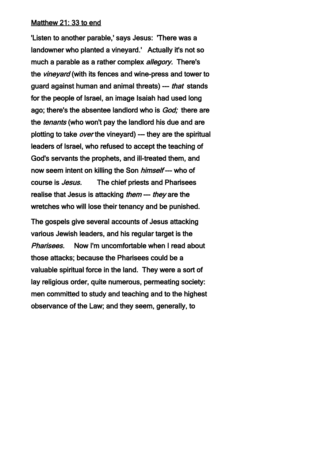## Matthew 21: 33 to end

'Listen to another parable,' says Jesus: 'There was a landowner who planted a vineyard.' Actually it's not so much a parable as a rather complex *allegory*. There's the *vineyard* (with its fences and wine-press and tower to guard against human and animal threats) --- that stands for the people of Israel, an image Isaiah had used long ago; there's the absentee landlord who is God; there are the *tenants* (who won't pay the landlord his due and are plotting to take over the vineyard) --- they are the spiritual leaders of Israel, who refused to accept the teaching of God's servants the prophets, and ill-treated them, and now seem intent on killing the Son *himself* --- who of course is Jesus. The chief priests and Pharisees realise that Jesus is attacking *them* --- *they* are the wretches who will lose their tenancy and be punished.

The gospels give several accounts of Jesus attacking various Jewish leaders, and his regular target is the Pharisees. Now I'm uncomfortable when I read about those attacks; because the Pharisees could be a valuable spiritual force in the land. They were a sort of lay religious order, quite numerous, permeating society: men committed to study and teaching and to the highest observance of the Law; and they seem, generally, to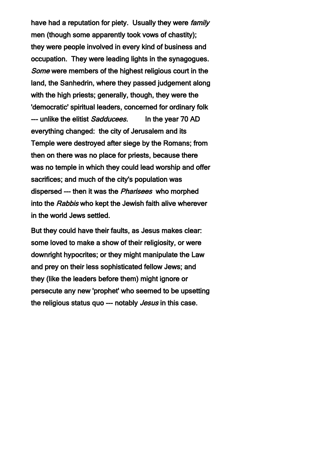have had a reputation for piety. Usually they were *family* men (though some apparently took vows of chastity); they were people involved in every kind of business and occupation. They were leading lights in the synagogues. Some were members of the highest religious court in the land, the Sanhedrin, where they passed judgement along with the high priests; generally, though, they were the 'democratic' spiritual leaders, concerned for ordinary folk --- unlike the elitist Sadducees. In the year 70 AD everything changed: the city of Jerusalem and its Temple were destroyed after siege by the Romans; from then on there was no place for priests, because there was no temple in which they could lead worship and offer sacrifices; and much of the city's population was dispersed --- then it was the Pharisees who morphed into the Rabbis who kept the Jewish faith alive wherever in the world Jews settled.

But they could have their faults, as Jesus makes clear: some loved to make a show of their religiosity, or were downright hypocrites; or they might manipulate the Law and prey on their less sophisticated fellow Jews; and they (like the leaders before them) might ignore or persecute any new 'prophet' who seemed to be upsetting the religious status quo --- notably *Jesus* in this case.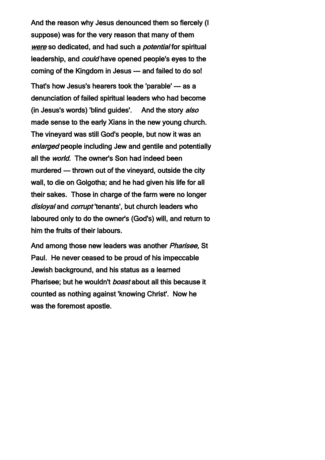And the reason why Jesus denounced them so fiercely (I suppose) was for the very reason that many of them were so dedicated, and had such a *potential* for spiritual leadership, and could have opened people's eyes to the coming of the Kingdom in Jesus --- and failed to do so!

That's how Jesus's hearers took the 'parable' --- as a denunciation of failed spiritual leaders who had become (in Jesus's words) 'blind guides'. And the story also made sense to the early Xians in the new young church. The vineyard was still God's people, but now it was an enlarged people including Jew and gentile and potentially all the *world.* The owner's Son had indeed been murdered --- thrown out of the vineyard, outside the city wall, to die on Golgotha; and he had given his life for all their sakes. Those in charge of the farm were no longer disloyal and corrupt 'tenants', but church leaders who laboured only to do the owner's (God's) will, and return to him the fruits of their labours.

And among those new leaders was another Pharisee, St Paul. He never ceased to be proud of his impeccable Jewish background, and his status as a learned Pharisee; but he wouldn't *boast* about all this because it counted as nothing against 'knowing Christ'. Now he was the foremost apostle.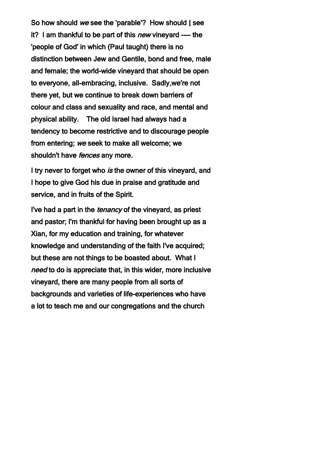So how should we see the 'parable'? How should I see it? I am thankful to be part of this *new* vineyard ---- the 'people of God' in which (Paul taught) there is no distinction between Jew and Gentile, bond and free, male and female; the world-wide vineyard that should be open to everyone, all-embracing, inclusive. Sadly,we're not there yet, but we continue to break down barriers of colour and class and sexuality and race, and mental and physical ability. The old Israel had always had a tendency to become restrictive and to discourage people from entering; we seek to make all welcome; we shouldn't have *fences* any more.

I try never to forget who is the owner of this vineyard, and I hope to give God his due in praise and gratitude and service, and in fruits of the Spirit.

I've had a part in the tenancy of the vineyard, as priest and pastor; I'm thankful for having been brought up as a Xian, for my education and training, for whatever knowledge and understanding of the faith I've acquired; but these are not things to be boasted about. What I need to do is appreciate that, in this wider, more inclusive vineyard, there are many people from all sorts of backgrounds and varieties of life-experiences who have a lot to teach me and our congregations and the church